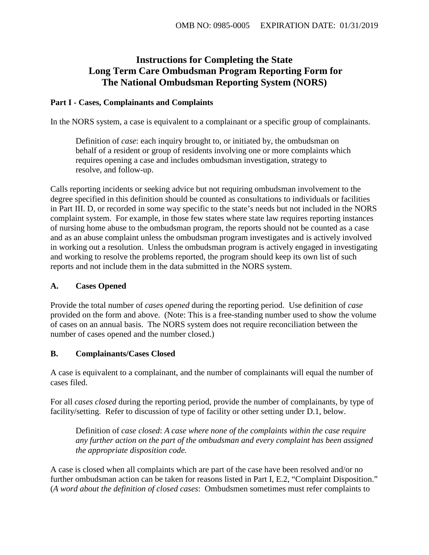# **Instructions for Completing the State Long Term Care Ombudsman Program Reporting Form for The National Ombudsman Reporting System (NORS)**

## **Part I - Cases, Complainants and Complaints**

In the NORS system, a case is equivalent to a complainant or a specific group of complainants.

Definition of *case*: each inquiry brought to, or initiated by, the ombudsman on behalf of a resident or group of residents involving one or more complaints which requires opening a case and includes ombudsman investigation, strategy to resolve, and follow-up.

Calls reporting incidents or seeking advice but not requiring ombudsman involvement to the degree specified in this definition should be counted as consultations to individuals or facilities in Part III. D, or recorded in some way specific to the state's needs but not included in the NORS complaint system. For example, in those few states where state law requires reporting instances of nursing home abuse to the ombudsman program, the reports should not be counted as a case and as an abuse complaint unless the ombudsman program investigates and is actively involved in working out a resolution. Unless the ombudsman program is actively engaged in investigating and working to resolve the problems reported, the program should keep its own list of such reports and not include them in the data submitted in the NORS system.

## **A. Cases Opened**

Provide the total number of *cases opened* during the reporting period. Use definition of *case* provided on the form and above. (Note: This is a free-standing number used to show the volume of cases on an annual basis. The NORS system does not require reconciliation between the number of cases opened and the number closed.)

## **B. Complainants/Cases Closed**

A case is equivalent to a complainant, and the number of complainants will equal the number of cases filed.

For all *cases closed* during the reporting period, provide the number of complainants, by type of facility/setting. Refer to discussion of type of facility or other setting under D.1, below.

Definition of *case closed*: *A case where none of the complaints within the case require any further action on the part of the ombudsman and every complaint has been assigned the appropriate disposition code.*

A case is closed when all complaints which are part of the case have been resolved and/or no further ombudsman action can be taken for reasons listed in Part I, E.2, "Complaint Disposition." (*A word about the definition of closed cases*: Ombudsmen sometimes must refer complaints to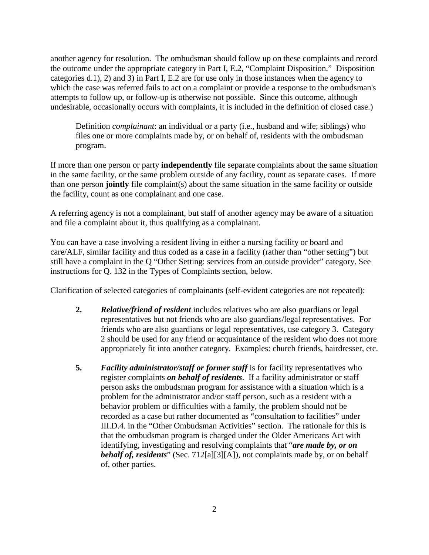another agency for resolution. The ombudsman should follow up on these complaints and record the outcome under the appropriate category in Part I, E.2, "Complaint Disposition." Disposition categories d.1), 2) and 3) in Part I, E.2 are for use only in those instances when the agency to which the case was referred fails to act on a complaint or provide a response to the ombudsman's attempts to follow up, or follow-up is otherwise not possible. Since this outcome, although undesirable, occasionally occurs with complaints, it is included in the definition of closed case.)

Definition *complainant*: an individual or a party (i.e., husband and wife; siblings) who files one or more complaints made by, or on behalf of, residents with the ombudsman program.

If more than one person or party **independently** file separate complaints about the same situation in the same facility, or the same problem outside of any facility, count as separate cases. If more than one person **jointly** file complaint(s) about the same situation in the same facility or outside the facility, count as one complainant and one case.

A referring agency is not a complainant, but staff of another agency may be aware of a situation and file a complaint about it, thus qualifying as a complainant.

You can have a case involving a resident living in either a nursing facility or board and care/ALF, similar facility and thus coded as a case in a facility (rather than "other setting") but still have a complaint in the Q "Other Setting: services from an outside provider" category. See instructions for Q. 132 in the Types of Complaints section, below.

Clarification of selected categories of complainants (self-evident categories are not repeated):

- **2.** *Relative/friend of resident* includes relatives who are also guardians or legal representatives but not friends who are also guardians/legal representatives. For friends who are also guardians or legal representatives, use category 3. Category 2 should be used for any friend or acquaintance of the resident who does not more appropriately fit into another category. Examples: church friends, hairdresser, etc.
- **5.** *Facility administrator/staff or former staff* is for facility representatives who register complaints *on behalf of residents*. If a facility administrator or staff person asks the ombudsman program for assistance with a situation which is a problem for the administrator and/or staff person, such as a resident with a behavior problem or difficulties with a family, the problem should not be recorded as a case but rather documented as "consultation to facilities" under III.D.4. in the "Other Ombudsman Activities" section. The rationale for this is that the ombudsman program is charged under the Older Americans Act with identifying, investigating and resolving complaints that "*are made by, or on behalf of, residents*" (Sec. 712[a][3][A]), not complaints made by, or on behalf of, other parties.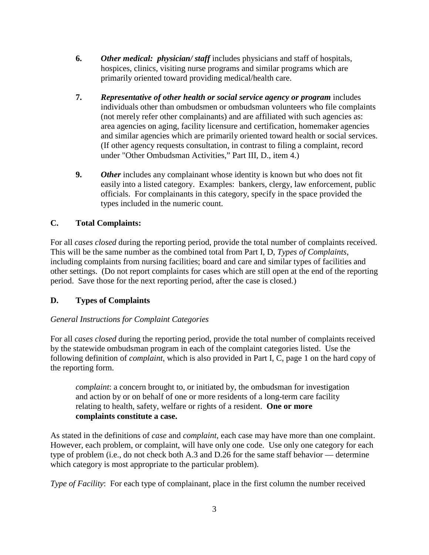- **6.** *Other medical: physician/ staff* includes physicians and staff of hospitals, hospices, clinics, visiting nurse programs and similar programs which are primarily oriented toward providing medical/health care.
- **7.** *Representative of other health or social service agency or program* includes individuals other than ombudsmen or ombudsman volunteers who file complaints (not merely refer other complainants) and are affiliated with such agencies as: area agencies on aging, facility licensure and certification, homemaker agencies and similar agencies which are primarily oriented toward health or social services. (If other agency requests consultation, in contrast to filing a complaint, record under "Other Ombudsman Activities," Part III, D., item 4.)
- **9.** *Other* includes any complainant whose identity is known but who does not fit easily into a listed category. Examples: bankers, clergy, law enforcement, public officials. For complainants in this category, specify in the space provided the types included in the numeric count.

## **C. Total Complaints:**

For all *cases closed* during the reporting period, provide the total number of complaints received. This will be the same number as the combined total from Part I, D, *Types of Complaints*, including complaints from nursing facilities; board and care and similar types of facilities and other settings. (Do not report complaints for cases which are still open at the end of the reporting period. Save those for the next reporting period, after the case is closed.)

## **D. Types of Complaints**

## *General Instructions for Complaint Categories*

For all *cases closed* during the reporting period, provide the total number of complaints received by the statewide ombudsman program in each of the complaint categories listed. Use the following definition of *complaint*, which is also provided in Part I, C, page 1 on the hard copy of the reporting form.

*complaint*: a concern brought to, or initiated by, the ombudsman for investigation and action by or on behalf of one or more residents of a long-term care facility relating to health, safety, welfare or rights of a resident. **One or more complaints constitute a case.**

As stated in the definitions of *case* and *complaint*, each case may have more than one complaint. However, each problem, or complaint, will have only one code. Use only one category for each type of problem (i.e., do not check both A.3 and D.26 for the same staff behavior — determine which category is most appropriate to the particular problem).

*Type of Facility*: For each type of complainant, place in the first column the number received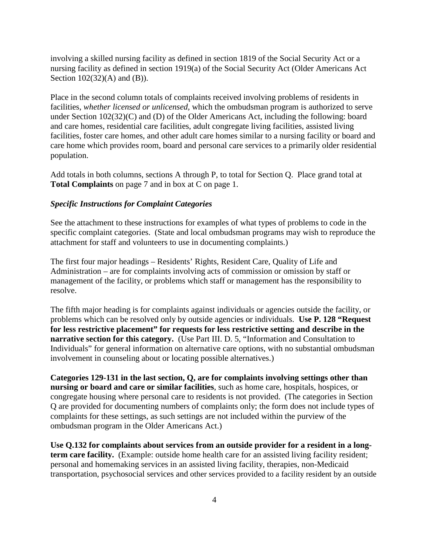involving a skilled nursing facility as defined in section 1819 of the Social Security Act or a nursing facility as defined in section 1919(a) of the Social Security Act (Older Americans Act Section 102(32)(A) and (B)).

Place in the second column totals of complaints received involving problems of residents in facilities, *whether licensed or unlicensed,* which the ombudsman program is authorized to serve under Section 102(32)(C) and (D) of the Older Americans Act, including the following: board and care homes, residential care facilities, adult congregate living facilities, assisted living facilities, foster care homes, and other adult care homes similar to a nursing facility or board and care home which provides room, board and personal care services to a primarily older residential population.

Add totals in both columns, sections A through P, to total for Section Q. Place grand total at **Total Complaints** on page 7 and in box at C on page 1.

#### *Specific Instructions for Complaint Categories*

See the attachment to these instructions for examples of what types of problems to code in the specific complaint categories. (State and local ombudsman programs may wish to reproduce the attachment for staff and volunteers to use in documenting complaints.)

The first four major headings – Residents' Rights, Resident Care, Quality of Life and Administration – are for complaints involving acts of commission or omission by staff or management of the facility, or problems which staff or management has the responsibility to resolve.

The fifth major heading is for complaints against individuals or agencies outside the facility, or problems which can be resolved only by outside agencies or individuals. **Use P. 128 "Request for less restrictive placement" for requests for less restrictive setting and describe in the narrative section for this category.** (Use Part III. D. 5, "Information and Consultation to Individuals" for general information on alternative care options, with no substantial ombudsman involvement in counseling about or locating possible alternatives.)

**Categories 129-131 in the last section, Q, are for complaints involving settings other than nursing or board and care or similar facilities**, such as home care, hospitals, hospices, or congregate housing where personal care to residents is not provided. (The categories in Section Q are provided for documenting numbers of complaints only; the form does not include types of complaints for these settings, as such settings are not included within the purview of the ombudsman program in the Older Americans Act.)

**Use Q.132 for complaints about services from an outside provider for a resident in a longterm care facility.** (Example: outside home health care for an assisted living facility resident; personal and homemaking services in an assisted living facility, therapies, non-Medicaid transportation, psychosocial services and other services provided to a facility resident by an outside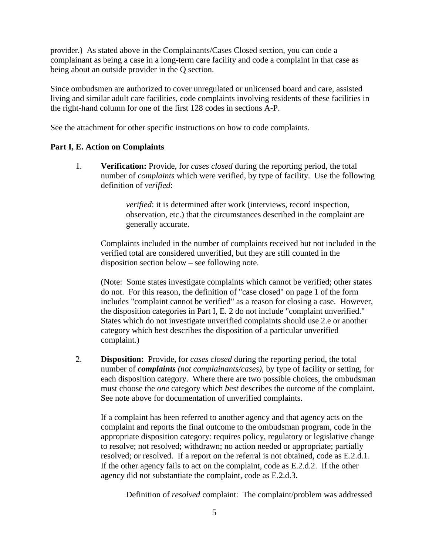provider.) As stated above in the Complainants/Cases Closed section, you can code a complainant as being a case in a long-term care facility and code a complaint in that case as being about an outside provider in the Q section.

Since ombudsmen are authorized to cover unregulated or unlicensed board and care, assisted living and similar adult care facilities, code complaints involving residents of these facilities in the right-hand column for one of the first 128 codes in sections A-P.

See the attachment for other specific instructions on how to code complaints.

#### **Part I, E. Action on Complaints**

1. **Verification:** Provide, for *cases closed* during the reporting period, the total number of *complaints* which were verified, by type of facility. Use the following definition of *verified*:

> *verified*: it is determined after work (interviews, record inspection, observation, etc.) that the circumstances described in the complaint are generally accurate.

Complaints included in the number of complaints received but not included in the verified total are considered unverified, but they are still counted in the disposition section below – see following note.

(Note: Some states investigate complaints which cannot be verified; other states do not. For this reason, the definition of "case closed" on page 1 of the form includes "complaint cannot be verified" as a reason for closing a case. However, the disposition categories in Part I, E. 2 do not include "complaint unverified." States which do not investigate unverified complaints should use 2.e or another category which best describes the disposition of a particular unverified complaint.)

2. **Disposition:** Provide, for *cases closed* during the reporting period, the total number of *complaints (not complainants/cases)*, by type of facility or setting, for each disposition category. Where there are two possible choices, the ombudsman must choose the *one* category which *best* describes the outcome of the complaint. See note above for documentation of unverified complaints.

If a complaint has been referred to another agency and that agency acts on the complaint and reports the final outcome to the ombudsman program, code in the appropriate disposition category: requires policy, regulatory or legislative change to resolve; not resolved; withdrawn; no action needed or appropriate; partially resolved; or resolved. If a report on the referral is not obtained, code as E.2.d.1. If the other agency fails to act on the complaint, code as E.2.d.2. If the other agency did not substantiate the complaint, code as E.2.d.3.

Definition of *resolved* complaint:The complaint/problem was addressed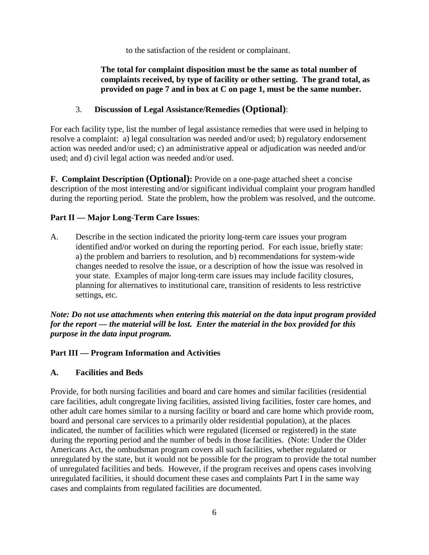to the satisfaction of the resident or complainant.

# **The total for complaint disposition must be the same as total number of complaints received, by type of facility or other setting. The grand total, as provided on page 7 and in box at C on page 1, must be the same number.**

# 3. **Discussion of Legal Assistance/Remedies (Optional)**:

For each facility type, list the number of legal assistance remedies that were used in helping to resolve a complaint: a) legal consultation was needed and/or used; b) regulatory endorsement action was needed and/or used; c) an administrative appeal or adjudication was needed and/or used; and d) civil legal action was needed and/or used.

**F. Complaint Description (Optional):** Provide on a one-page attached sheet a concise description of the most interesting and/or significant individual complaint your program handled during the reporting period. State the problem, how the problem was resolved, and the outcome.

# **Part II — Major Long-Term Care Issues**:

A. Describe in the section indicated the priority long-term care issues your program identified and/or worked on during the reporting period. For each issue, briefly state: a) the problem and barriers to resolution, and b) recommendations for system-wide changes needed to resolve the issue, or a description of how the issue was resolved in your state. Examples of major long-term care issues may include facility closures, planning for alternatives to institutional care, transition of residents to less restrictive settings, etc.

#### *Note: Do not use attachments when entering this material on the data input program provided for the report — the material will be lost. Enter the material in the box provided for this purpose in the data input program.*

# **Part III — Program Information and Activities**

## **A. Facilities and Beds**

Provide, for both nursing facilities and board and care homes and similar facilities (residential care facilities, adult congregate living facilities, assisted living facilities, foster care homes, and other adult care homes similar to a nursing facility or board and care home which provide room, board and personal care services to a primarily older residential population), at the places indicated, the number of facilities which were regulated (licensed or registered) in the state during the reporting period and the number of beds in those facilities. (Note: Under the Older Americans Act, the ombudsman program covers all such facilities, whether regulated or unregulated by the state, but it would not be possible for the program to provide the total number of unregulated facilities and beds. However, if the program receives and opens cases involving unregulated facilities, it should document these cases and complaints Part I in the same way cases and complaints from regulated facilities are documented.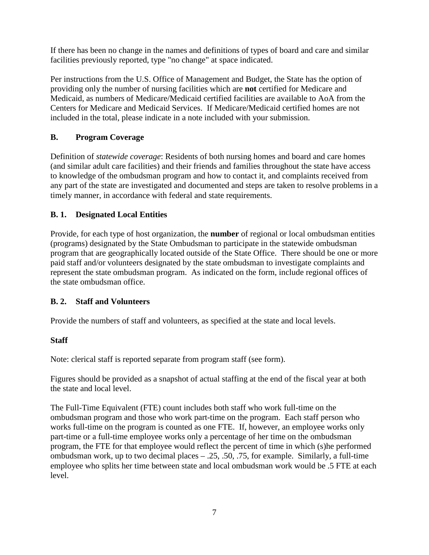If there has been no change in the names and definitions of types of board and care and similar facilities previously reported, type "no change" at space indicated.

Per instructions from the U.S. Office of Management and Budget, the State has the option of providing only the number of nursing facilities which are **not** certified for Medicare and Medicaid, as numbers of Medicare/Medicaid certified facilities are available to AoA from the Centers for Medicare and Medicaid Services. If Medicare/Medicaid certified homes are not included in the total, please indicate in a note included with your submission.

# **B. Program Coverage**

Definition of *statewide coverage*: Residents of both nursing homes and board and care homes (and similar adult care facilities) and their friends and families throughout the state have access to knowledge of the ombudsman program and how to contact it, and complaints received from any part of the state are investigated and documented and steps are taken to resolve problems in a timely manner, in accordance with federal and state requirements.

## **B. 1. Designated Local Entities**

Provide, for each type of host organization, the **number** of regional or local ombudsman entities (programs) designated by the State Ombudsman to participate in the statewide ombudsman program that are geographically located outside of the State Office. There should be one or more paid staff and/or volunteers designated by the state ombudsman to investigate complaints and represent the state ombudsman program. As indicated on the form, include regional offices of the state ombudsman office.

## **B. 2. Staff and Volunteers**

Provide the numbers of staff and volunteers, as specified at the state and local levels.

## **Staff**

Note: clerical staff is reported separate from program staff (see form).

Figures should be provided as a snapshot of actual staffing at the end of the fiscal year at both the state and local level.

The Full-Time Equivalent (FTE) count includes both staff who work full-time on the ombudsman program and those who work part-time on the program. Each staff person who works full-time on the program is counted as one FTE. If, however, an employee works only part-time or a full-time employee works only a percentage of her time on the ombudsman program, the FTE for that employee would reflect the percent of time in which (s)he performed ombudsman work, up to two decimal places – .25, .50, .75, for example. Similarly, a full-time employee who splits her time between state and local ombudsman work would be .5 FTE at each level.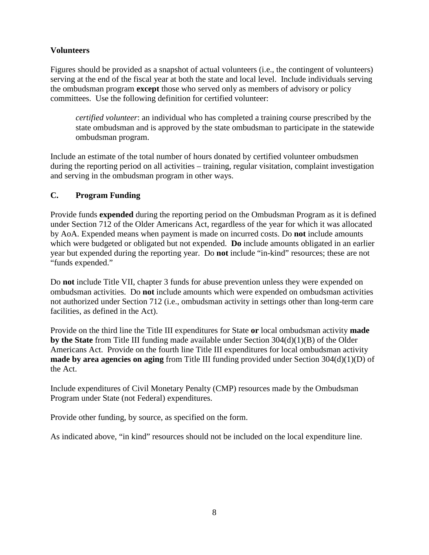# **Volunteers**

Figures should be provided as a snapshot of actual volunteers (i.e., the contingent of volunteers) serving at the end of the fiscal year at both the state and local level. Include individuals serving the ombudsman program **except** those who served only as members of advisory or policy committees. Use the following definition for certified volunteer:

*certified volunteer*: an individual who has completed a training course prescribed by the state ombudsman and is approved by the state ombudsman to participate in the statewide ombudsman program.

Include an estimate of the total number of hours donated by certified volunteer ombudsmen during the reporting period on all activities – training, regular visitation, complaint investigation and serving in the ombudsman program in other ways.

## **C. Program Funding**

Provide funds **expended** during the reporting period on the Ombudsman Program as it is defined under Section 712 of the Older Americans Act, regardless of the year for which it was allocated by AoA. Expended means when payment is made on incurred costs. Do **not** include amounts which were budgeted or obligated but not expended. **Do** include amounts obligated in an earlier year but expended during the reporting year. Do **not** include "in-kind" resources; these are not "funds expended."

Do **not** include Title VII, chapter 3 funds for abuse prevention unless they were expended on ombudsman activities. Do **not** include amounts which were expended on ombudsman activities not authorized under Section 712 (i.e., ombudsman activity in settings other than long-term care facilities, as defined in the Act).

Provide on the third line the Title III expenditures for State **or** local ombudsman activity **made by the State** from Title III funding made available under Section 304(d)(1)(B) of the Older Americans Act. Provide on the fourth line Title III expenditures for local ombudsman activity **made by area agencies on aging** from Title III funding provided under Section 304(d)(1)(D) of the Act.

Include expenditures of Civil Monetary Penalty (CMP) resources made by the Ombudsman Program under State (not Federal) expenditures.

Provide other funding, by source, as specified on the form.

As indicated above, "in kind" resources should not be included on the local expenditure line.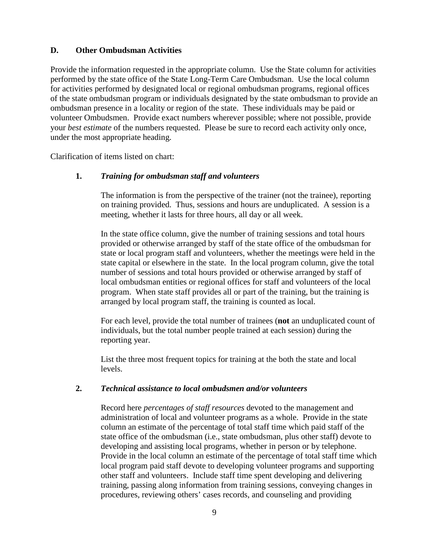#### **D. Other Ombudsman Activities**

Provide the information requested in the appropriate column. Use the State column for activities performed by the state office of the State Long-Term Care Ombudsman. Use the local column for activities performed by designated local or regional ombudsman programs, regional offices of the state ombudsman program or individuals designated by the state ombudsman to provide an ombudsman presence in a locality or region of the state. These individuals may be paid or volunteer Ombudsmen. Provide exact numbers wherever possible; where not possible, provide your *best estimate* of the numbers requested. Please be sure to record each activity only once, under the most appropriate heading.

Clarification of items listed on chart:

#### **1.** *Training for ombudsman staff and volunteers*

The information is from the perspective of the trainer (not the trainee), reporting on training provided. Thus, sessions and hours are unduplicated. A session is a meeting, whether it lasts for three hours, all day or all week.

In the state office column, give the number of training sessions and total hours provided or otherwise arranged by staff of the state office of the ombudsman for state or local program staff and volunteers, whether the meetings were held in the state capital or elsewhere in the state. In the local program column, give the total number of sessions and total hours provided or otherwise arranged by staff of local ombudsman entities or regional offices for staff and volunteers of the local program. When state staff provides all or part of the training, but the training is arranged by local program staff, the training is counted as local.

For each level, provide the total number of trainees (**not** an unduplicated count of individuals, but the total number people trained at each session) during the reporting year.

List the three most frequent topics for training at the both the state and local levels.

#### **2.** *Technical assistance to local ombudsmen and/or volunteers*

Record here *percentages of staff resources* devoted to the management and administration of local and volunteer programs as a whole. Provide in the state column an estimate of the percentage of total staff time which paid staff of the state office of the ombudsman (i.e., state ombudsman, plus other staff) devote to developing and assisting local programs, whether in person or by telephone. Provide in the local column an estimate of the percentage of total staff time which local program paid staff devote to developing volunteer programs and supporting other staff and volunteers. Include staff time spent developing and delivering training, passing along information from training sessions, conveying changes in procedures, reviewing others' cases records, and counseling and providing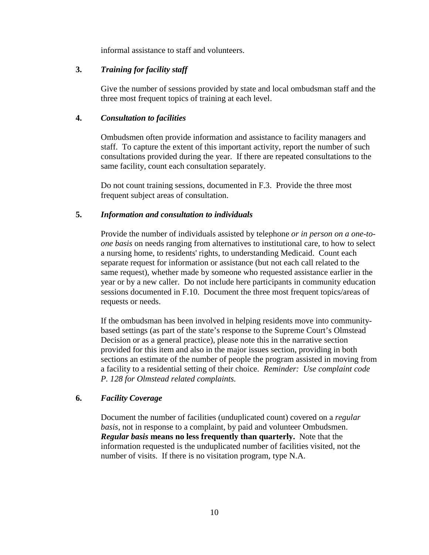informal assistance to staff and volunteers.

#### **3.** *Training for facility staff*

Give the number of sessions provided by state and local ombudsman staff and the three most frequent topics of training at each level.

#### **4.** *Consultation to facilities*

Ombudsmen often provide information and assistance to facility managers and staff. To capture the extent of this important activity, report the number of such consultations provided during the year. If there are repeated consultations to the same facility, count each consultation separately.

Do not count training sessions, documented in F.3. Provide the three most frequent subject areas of consultation.

#### **5.** *Information and consultation to individuals*

Provide the number of individuals assisted by telephone *or in person on a one-toone basis* on needs ranging from alternatives to institutional care, to how to select a nursing home, to residents' rights, to understanding Medicaid. Count each separate request for information or assistance (but not each call related to the same request), whether made by someone who requested assistance earlier in the year or by a new caller. Do not include here participants in community education sessions documented in F.10. Document the three most frequent topics/areas of requests or needs.

If the ombudsman has been involved in helping residents move into communitybased settings (as part of the state's response to the Supreme Court's Olmstead Decision or as a general practice), please note this in the narrative section provided for this item and also in the major issues section, providing in both sections an estimate of the number of people the program assisted in moving from a facility to a residential setting of their choice. *Reminder: Use complaint code P. 128 for Olmstead related complaints.*

## **6.** *Facility Coverage*

Document the number of facilities (unduplicated count) covered on a *regular basis*, not in response to a complaint, by paid and volunteer Ombudsmen. *Regular basis* **means no less frequently than quarterly.** Note that the information requested is the unduplicated number of facilities visited, not the number of visits. If there is no visitation program, type N.A.